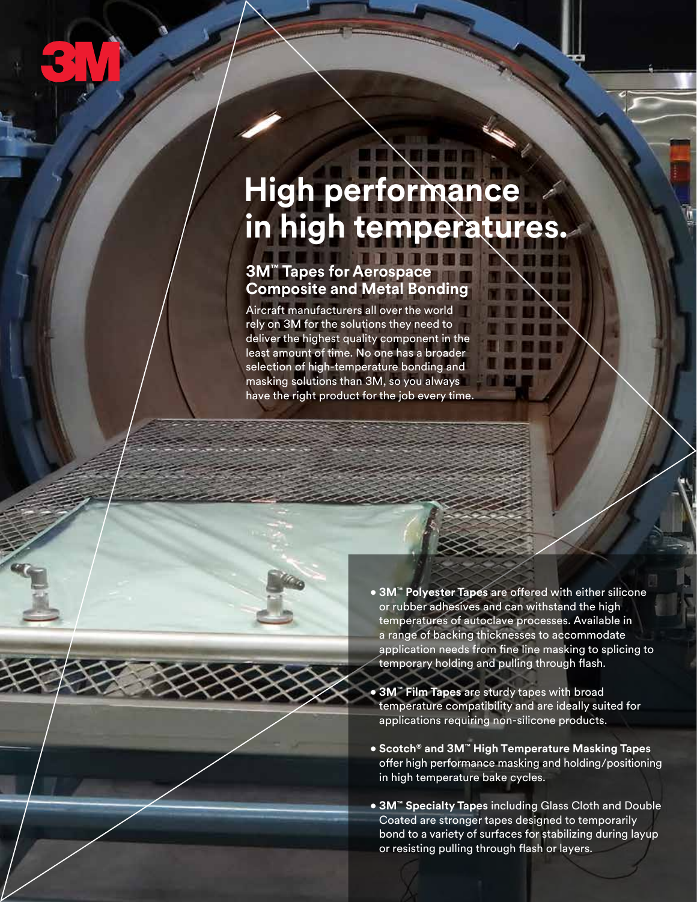

## **High performance in high temperatures.**

## **3M™ Tapes for Aerospace Composite and Metal Bonding**

Aircraft manufacturers all over the world rely on 3M for the solutions they need to deliver the highest quality component in the least amount of time. No one has a broader selection of high-temperature bonding and masking solutions than 3M, so you always have the right product for the job every time.

- **3M™ Polyester Tapes** are offered with either silicone or rubber adhesives and can withstand the high temperatures of autoclave processes. Available in a range of backing thicknesses to accommodate application needs from fine line masking to splicing to temporary holding and pulling through flash.
- **3M™ Film Tapes** are sturdy tapes with broad temperature compatibility and are ideally suited for applications requiring non-silicone products.
- **Scotch® and 3M™ High Temperature Masking Tapes**  offer high performance masking and holding/positioning in high temperature bake cycles.
- **3M™ Specialty Tapes** including Glass Cloth and Double Coated are stronger tapes designed to temporarily bond to a variety of surfaces for stabilizing during layup or resisting pulling through flash or layers.